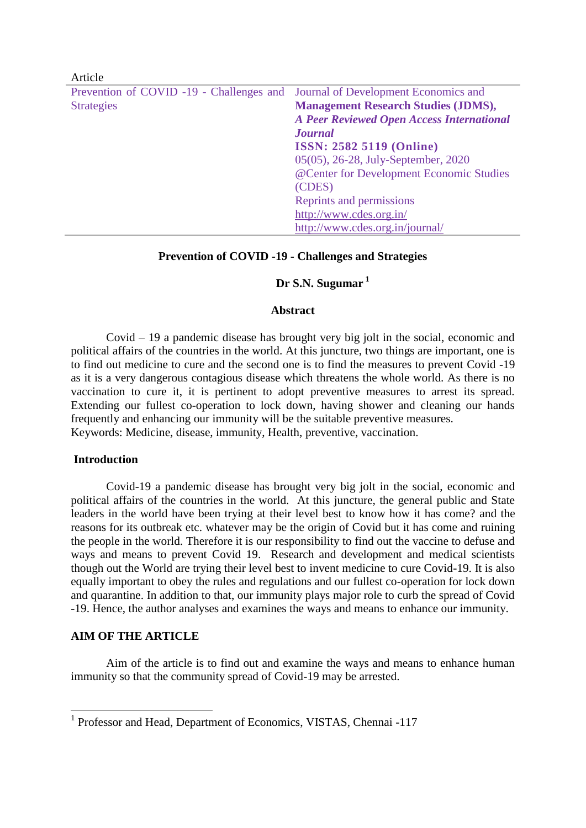| <b>TYLICIC</b>                           |                                                  |
|------------------------------------------|--------------------------------------------------|
| Prevention of COVID -19 - Challenges and | Journal of Development Economics and             |
| <b>Strategies</b>                        | <b>Management Research Studies (JDMS),</b>       |
|                                          | <b>A Peer Reviewed Open Access International</b> |
|                                          | <b>Journal</b>                                   |
|                                          | <b>ISSN: 2582 5119 (Online)</b>                  |
|                                          | 05(05), 26-28, July-September, 2020              |
|                                          | @Center for Development Economic Studies         |
|                                          | (CDES)                                           |
|                                          | Reprints and permissions                         |
|                                          | http://www.cdes.org.in/                          |
|                                          | http://www.cdes.org.in/journal/                  |

# **Prevention of COVID -19 - Challenges and Strategies**

## **Dr S.N. Sugumar <sup>1</sup>**

## **Abstract**

Covid – 19 a pandemic disease has brought very big jolt in the social, economic and political affairs of the countries in the world. At this juncture, two things are important, one is to find out medicine to cure and the second one is to find the measures to prevent Covid -19 as it is a very dangerous contagious disease which threatens the whole world. As there is no vaccination to cure it, it is pertinent to adopt preventive measures to arrest its spread. Extending our fullest co-operation to lock down, having shower and cleaning our hands frequently and enhancing our immunity will be the suitable preventive measures. Keywords: Medicine, disease, immunity, Health, preventive, vaccination.

# **Introduction**

 $Artiola$ 

Covid-19 a pandemic disease has brought very big jolt in the social, economic and political affairs of the countries in the world. At this juncture, the general public and State leaders in the world have been trying at their level best to know how it has come? and the reasons for its outbreak etc. whatever may be the origin of Covid but it has come and ruining the people in the world. Therefore it is our responsibility to find out the vaccine to defuse and ways and means to prevent Covid 19. Research and development and medical scientists though out the World are trying their level best to invent medicine to cure Covid-19. It is also equally important to obey the rules and regulations and our fullest co-operation for lock down and quarantine. In addition to that, our immunity plays major role to curb the spread of Covid -19. Hence, the author analyses and examines the ways and means to enhance our immunity.

# **AIM OF THE ARTICLE**

Aim of the article is to find out and examine the ways and means to enhance human immunity so that the community spread of Covid-19 may be arrested.

 1 Professor and Head, Department of Economics, VISTAS, Chennai -117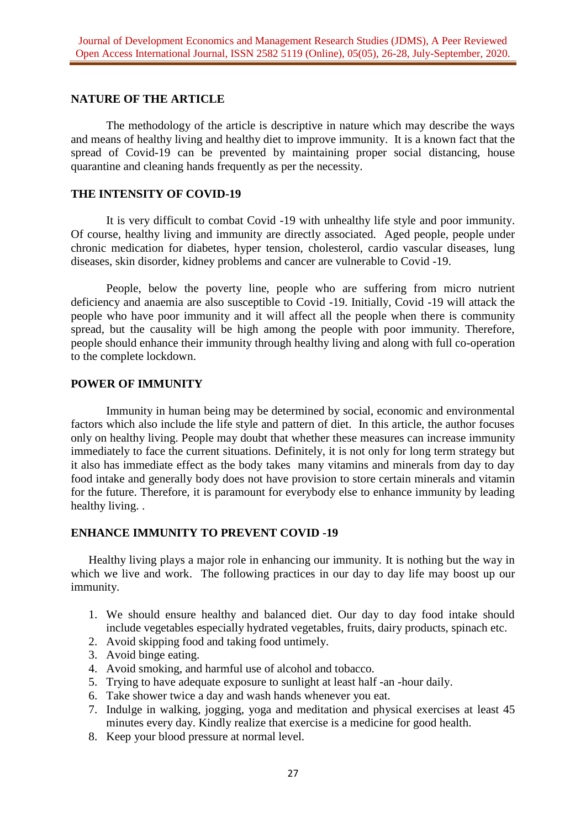# **NATURE OF THE ARTICLE**

The methodology of the article is descriptive in nature which may describe the ways and means of healthy living and healthy diet to improve immunity. It is a known fact that the spread of Covid-19 can be prevented by maintaining proper social distancing, house quarantine and cleaning hands frequently as per the necessity.

# **THE INTENSITY OF COVID-19**

It is very difficult to combat Covid -19 with unhealthy life style and poor immunity. Of course, healthy living and immunity are directly associated. Aged people, people under chronic medication for diabetes, hyper tension, cholesterol, cardio vascular diseases, lung diseases, skin disorder, kidney problems and cancer are vulnerable to Covid -19.

People, below the poverty line, people who are suffering from micro nutrient deficiency and anaemia are also susceptible to Covid -19. Initially, Covid -19 will attack the people who have poor immunity and it will affect all the people when there is community spread, but the causality will be high among the people with poor immunity. Therefore, people should enhance their immunity through healthy living and along with full co-operation to the complete lockdown.

# **POWER OF IMMUNITY**

Immunity in human being may be determined by social, economic and environmental factors which also include the life style and pattern of diet. In this article, the author focuses only on healthy living. People may doubt that whether these measures can increase immunity immediately to face the current situations. Definitely, it is not only for long term strategy but it also has immediate effect as the body takes many vitamins and minerals from day to day food intake and generally body does not have provision to store certain minerals and vitamin for the future. Therefore, it is paramount for everybody else to enhance immunity by leading healthy living. .

# **ENHANCE IMMUNITY TO PREVENT COVID -19**

Healthy living plays a major role in enhancing our immunity. It is nothing but the way in which we live and work. The following practices in our day to day life may boost up our immunity.

- 1. We should ensure healthy and balanced diet. Our day to day food intake should include vegetables especially hydrated vegetables, fruits, dairy products, spinach etc.
- 2. Avoid skipping food and taking food untimely.
- 3. Avoid binge eating.
- 4. Avoid smoking, and harmful use of alcohol and tobacco.
- 5. Trying to have adequate exposure to sunlight at least half -an -hour daily.
- 6. Take shower twice a day and wash hands whenever you eat.
- 7. Indulge in walking, jogging, yoga and meditation and physical exercises at least 45 minutes every day. Kindly realize that exercise is a medicine for good health.
- 8. Keep your blood pressure at normal level.